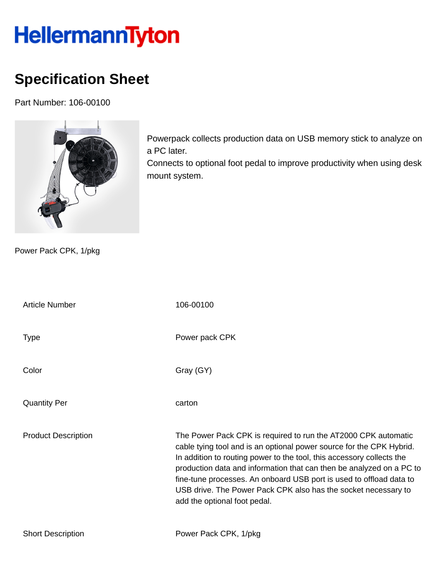## HellermannTyton

## **Specification Sheet**

Part Number: 106-00100



Powerpack collects production data on USB memory stick to analyze on a PC later.

Connects to optional foot pedal to improve productivity when using desk mount system.

Power Pack CPK, 1/pkg

| <b>Article Number</b>      | 106-00100                                                                                                                                                                                                                                                                                                                                                                                                                                                        |
|----------------------------|------------------------------------------------------------------------------------------------------------------------------------------------------------------------------------------------------------------------------------------------------------------------------------------------------------------------------------------------------------------------------------------------------------------------------------------------------------------|
| <b>Type</b>                | Power pack CPK                                                                                                                                                                                                                                                                                                                                                                                                                                                   |
| Color                      | Gray (GY)                                                                                                                                                                                                                                                                                                                                                                                                                                                        |
| <b>Quantity Per</b>        | carton                                                                                                                                                                                                                                                                                                                                                                                                                                                           |
| <b>Product Description</b> | The Power Pack CPK is required to run the AT2000 CPK automatic<br>cable tying tool and is an optional power source for the CPK Hybrid.<br>In addition to routing power to the tool, this accessory collects the<br>production data and information that can then be analyzed on a PC to<br>fine-tune processes. An onboard USB port is used to offload data to<br>USB drive. The Power Pack CPK also has the socket necessary to<br>add the optional foot pedal. |
| <b>Short Description</b>   | Power Pack CPK, 1/pkg                                                                                                                                                                                                                                                                                                                                                                                                                                            |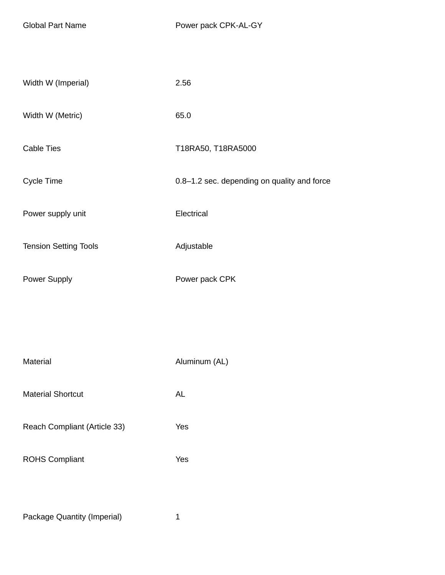| Width W (Imperial)           | 2.56                                        |
|------------------------------|---------------------------------------------|
| Width W (Metric)             | 65.0                                        |
|                              |                                             |
| <b>Cable Ties</b>            | T18RA50, T18RA5000                          |
| Cycle Time                   | 0.8-1.2 sec. depending on quality and force |
| Power supply unit            | Electrical                                  |
|                              |                                             |
| <b>Tension Setting Tools</b> | Adjustable                                  |
| Power Supply                 | Power pack CPK                              |
|                              |                                             |
|                              |                                             |
| Material                     | Aluminum (AL)                               |
| <b>Material Shortcut</b>     | AL                                          |
|                              |                                             |
| Reach Compliant (Article 33) | Yes                                         |
| <b>ROHS Compliant</b>        | Yes                                         |
|                              |                                             |
| Package Quantity (Imperial)  | $\mathbf{1}$                                |